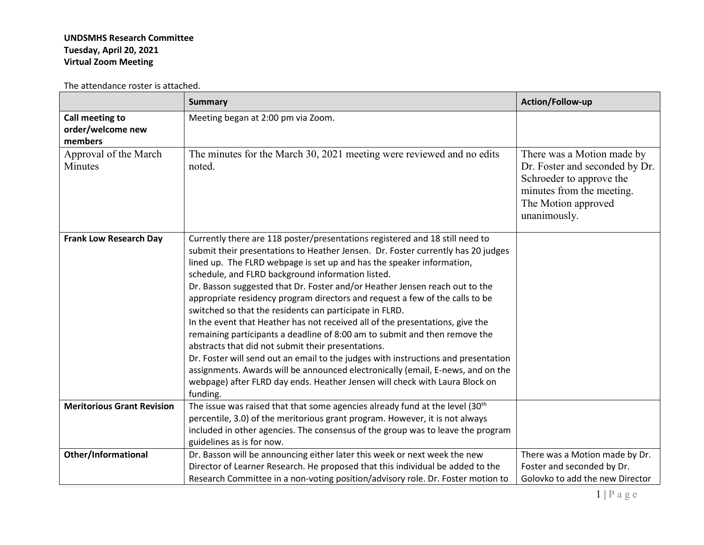## **UNDSMHS Research Committee Tuesday, April 20, 2021 Virtual Zoom Meeting**

The attendance roster is attached.

|                                                 | <b>Summary</b>                                                                                                                                                                                                                                                                                                                                                                                                                                                                                                                                                                                                                                                                                                                                                                                                                                                                                                                                                                                                    | Action/Follow-up                                                                                                                                             |
|-------------------------------------------------|-------------------------------------------------------------------------------------------------------------------------------------------------------------------------------------------------------------------------------------------------------------------------------------------------------------------------------------------------------------------------------------------------------------------------------------------------------------------------------------------------------------------------------------------------------------------------------------------------------------------------------------------------------------------------------------------------------------------------------------------------------------------------------------------------------------------------------------------------------------------------------------------------------------------------------------------------------------------------------------------------------------------|--------------------------------------------------------------------------------------------------------------------------------------------------------------|
| Call meeting to<br>order/welcome new<br>members | Meeting began at 2:00 pm via Zoom.                                                                                                                                                                                                                                                                                                                                                                                                                                                                                                                                                                                                                                                                                                                                                                                                                                                                                                                                                                                |                                                                                                                                                              |
| Approval of the March<br>Minutes                | The minutes for the March 30, 2021 meeting were reviewed and no edits<br>noted.                                                                                                                                                                                                                                                                                                                                                                                                                                                                                                                                                                                                                                                                                                                                                                                                                                                                                                                                   | There was a Motion made by<br>Dr. Foster and seconded by Dr.<br>Schroeder to approve the<br>minutes from the meeting.<br>The Motion approved<br>unanimously. |
| <b>Frank Low Research Day</b>                   | Currently there are 118 poster/presentations registered and 18 still need to<br>submit their presentations to Heather Jensen. Dr. Foster currently has 20 judges<br>lined up. The FLRD webpage is set up and has the speaker information,<br>schedule, and FLRD background information listed.<br>Dr. Basson suggested that Dr. Foster and/or Heather Jensen reach out to the<br>appropriate residency program directors and request a few of the calls to be<br>switched so that the residents can participate in FLRD.<br>In the event that Heather has not received all of the presentations, give the<br>remaining participants a deadline of 8:00 am to submit and then remove the<br>abstracts that did not submit their presentations.<br>Dr. Foster will send out an email to the judges with instructions and presentation<br>assignments. Awards will be announced electronically (email, E-news, and on the<br>webpage) after FLRD day ends. Heather Jensen will check with Laura Block on<br>funding. |                                                                                                                                                              |
| <b>Meritorious Grant Revision</b>               | The issue was raised that that some agencies already fund at the level (30 <sup>th</sup><br>percentile, 3.0) of the meritorious grant program. However, it is not always<br>included in other agencies. The consensus of the group was to leave the program<br>guidelines as is for now.                                                                                                                                                                                                                                                                                                                                                                                                                                                                                                                                                                                                                                                                                                                          |                                                                                                                                                              |
| <b>Other/Informational</b>                      | Dr. Basson will be announcing either later this week or next week the new<br>Director of Learner Research. He proposed that this individual be added to the<br>Research Committee in a non-voting position/advisory role. Dr. Foster motion to                                                                                                                                                                                                                                                                                                                                                                                                                                                                                                                                                                                                                                                                                                                                                                    | There was a Motion made by Dr.<br>Foster and seconded by Dr.<br>Golovko to add the new Director                                                              |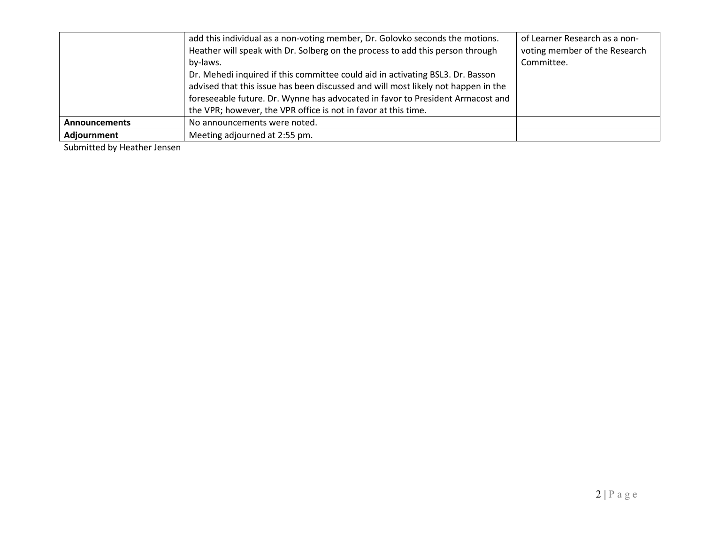|                      | add this individual as a non-voting member, Dr. Golovko seconds the motions.<br>Heather will speak with Dr. Solberg on the process to add this person through<br>by-laws.<br>Dr. Mehedi inquired if this committee could aid in activating BSL3. Dr. Basson<br>advised that this issue has been discussed and will most likely not happen in the<br>foreseeable future. Dr. Wynne has advocated in favor to President Armacost and<br>the VPR; however, the VPR office is not in favor at this time. | of Learner Research as a non-<br>voting member of the Research<br>Committee. |
|----------------------|------------------------------------------------------------------------------------------------------------------------------------------------------------------------------------------------------------------------------------------------------------------------------------------------------------------------------------------------------------------------------------------------------------------------------------------------------------------------------------------------------|------------------------------------------------------------------------------|
| <b>Announcements</b> | No announcements were noted.                                                                                                                                                                                                                                                                                                                                                                                                                                                                         |                                                                              |
| Adjournment          | Meeting adjourned at 2:55 pm.                                                                                                                                                                                                                                                                                                                                                                                                                                                                        |                                                                              |

Submitted by Heather Jensen